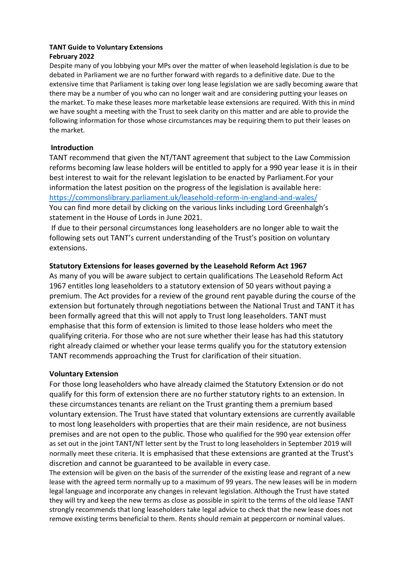# **TANT Guide to Voluntary Extensions**

# **February 2022**

Despite many of you lobbying your MPs over the matter of when leasehold legislation is due to be debated in Parliament we are no further forward with regards to a definitive date. Due to the extensive time that Parliament is taking over long lease legislation we are sadly becoming aware that there may be a number of you who can no longer wait and are considering putting your leases on the market. To make these leases more marketable lease extensions are required. With this in mind we have sought a meeting with the Trust to seek clarity on this matter and are able to provide the following information for those whose circumstances may be requiring them to put their leases on the market.

# **Introduction**

TANT recommend that given the NT/TANT agreement that subject to the Law Commission reforms becoming law lease holders will be entitled to apply for a 990 year lease it is in their best interest to wait for the relevant legislation to be enacted by Parliament.For your information the latest position on the progress of the legislation is available here: <https://commonslibrary.parliament.uk/leasehold-reform-in-england-and-wales/> You can find more detail by clicking on the various links including Lord Greenhalgh's statement in the House of Lords in June 2021.

If due to their personal circumstances long leaseholders are no longer able to wait the following sets out TANT's current understanding of the Trust's position on voluntary extensions.

# **Statutory Extensions for leases governed by the Leasehold Reform Act 1967**

As many of you will be aware subject to certain qualifications The Leasehold Reform Act 1967 entitles long leaseholders to a statutory extension of 50 years without paying a premium. The Act provides for a review of the ground rent payable during the course of the extension but fortunately through negotiations between the National Trust and TANT it has been formally agreed that this will not apply to Trust long leaseholders. TANT must emphasise that this form of extension is limited to those lease holders who meet the qualifying criteria. For those who are not sure whether their lease has had this statutory right already claimed or whether your lease terms qualify you for the statutory extension TANT recommends approaching the Trust for clarification of their situation.

# **Voluntary Extension**

For those long leaseholders who have already claimed the Statutory Extension or do not qualify for this form of extension there are no further statutory rights to an extension. In these circumstances tenants are reliant on the Trust granting them a premium based voluntary extension. The Trust have stated that voluntary extensions are currently available to most long leaseholders with properties that are their main residence, are not business premises and are not open to the public. Those who qualified for the 990 year extension offer as set out in the joint TANT/NT letter sent by the Trust to long leaseholders in September 2019 will normally meet these criteria. It is emphasised that these extensions are granted at the Trust's discretion and cannot be guaranteed to be available in every case.

The extension will be given on the basis of the surrender of the existing lease and regrant of a new lease with the agreed term normally up to a maximum of 99 years. The new leases will be in modern legal language and incorporate any changes in relevant legislation. Although the Trust have stated they will try and keep the new terms as close as possible in spirit to the terms of the old lease TANT strongly recommends that long leaseholders take legal advice to check that the new lease does not remove existing terms beneficial to them. Rents should remain at peppercorn or nominal values.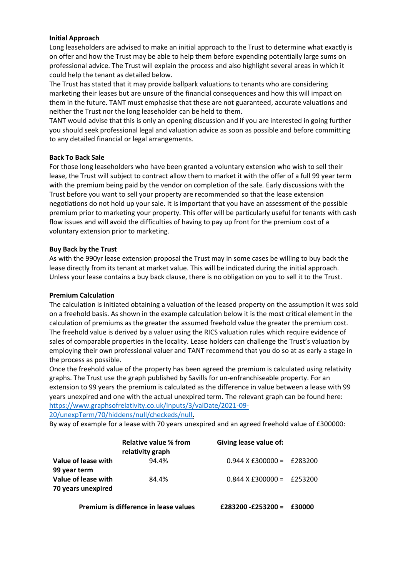#### **Initial Approach**

Long leaseholders are advised to make an initial approach to the Trust to determine what exactly is on offer and how the Trust may be able to help them before expending potentially large sums on professional advice. The Trust will explain the process and also highlight several areas in which it could help the tenant as detailed below.

The Trust has stated that it may provide ballpark valuations to tenants who are considering marketing their leases but are unsure of the financial consequences and how this will impact on them in the future. TANT must emphasise that these are not guaranteed, accurate valuations and neither the Trust nor the long leaseholder can be held to them.

TANT would advise that this is only an opening discussion and if you are interested in going further you should seek professional legal and valuation advice as soon as possible and before committing to any detailed financial or legal arrangements.

## **Back To Back Sale**

For those long leaseholders who have been granted a voluntary extension who wish to sell their lease, the Trust will subject to contract allow them to market it with the offer of a full 99 year term with the premium being paid by the vendor on completion of the sale. Early discussions with the Trust before you want to sell your property are recommended so that the lease extension negotiations do not hold up your sale. It is important that you have an assessment of the possible premium prior to marketing your property. This offer will be particularly useful for tenants with cash flow issues and will avoid the difficulties of having to pay up front for the premium cost of a voluntary extension prior to marketing.

## **Buy Back by the Trust**

As with the 990yr lease extension proposal the Trust may in some cases be willing to buy back the lease directly from its tenant at market value. This will be indicated during the initial approach. Unless your lease contains a buy back clause, there is no obligation on you to sell it to the Trust.

#### **Premium Calculation**

The calculation is initiated obtaining a valuation of the leased property on the assumption it was sold on a freehold basis. As shown in the example calculation below it is the most critical element in the calculation of premiums as the greater the assumed freehold value the greater the premium cost. The freehold value is derived by a valuer using the RICS valuation rules which require evidence of sales of comparable properties in the locality. Lease holders can challenge the Trust's valuation by employing their own professional valuer and TANT recommend that you do so at as early a stage in the process as possible.

Once the freehold value of the property has been agreed the premium is calculated using relativity graphs. The Trust use the graph published by Savills for un-enfranchiseable property. For an extension to 99 years the premium is calculated as the difference in value between a lease with 99 years unexpired and one with the actual unexpired term. The relevant graph can be found here: [https://www.graphsofrelativity.co.uk/inputs/3/valDate/2021-09-](https://www.graphsofrelativity.co.uk/inputs/3/valDate/2021-09-20/unexpTerm/70/hiddens/null/checkeds/null)

[20/unexpTerm/70/hiddens/null/checkeds/null.](https://www.graphsofrelativity.co.uk/inputs/3/valDate/2021-09-20/unexpTerm/70/hiddens/null/checkeds/null)

By way of example for a lease with 70 years unexpired and an agreed freehold value of £300000:

|                                           | Relative value % from<br>relativity graph | Giving lease value of:           |  |
|-------------------------------------------|-------------------------------------------|----------------------------------|--|
| Value of lease with<br>99 year term       | 94.4%                                     | $0.944 \times £300000 = £283200$ |  |
| Value of lease with<br>70 years unexpired | 84.4%                                     | $0.844$ X £300000 = £253200      |  |

**Premium is difference in lease values £283200 -£253200 = £30000**